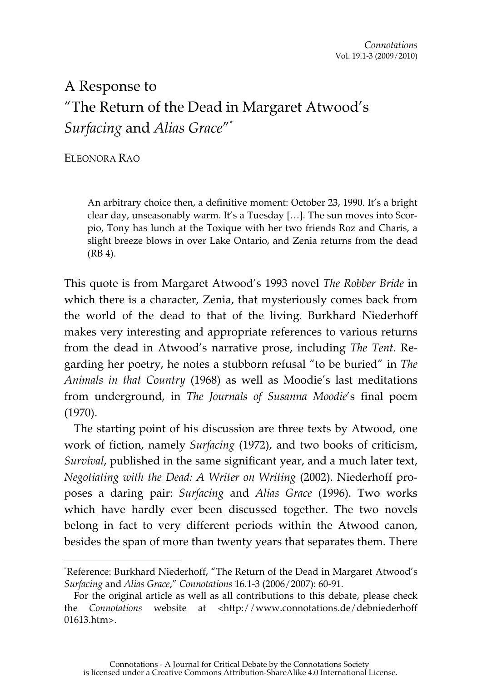## A Response to "The Return of the Dead in Margaret Atwood's *Surfacing* and *Alias Grace*"\*

ELEONORA RAO

 $\overline{a}$ 

An arbitrary choice then, a definitive moment: October 23, 1990. It's a bright clear day, unseasonably warm. It's a Tuesday […]. The sun moves into Scorpio, Tony has lunch at the Toxique with her two friends Roz and Charis, a slight breeze blows in over Lake Ontario, and Zenia returns from the dead (RB 4).

This quote is from Margaret Atwood's 1993 novel *The Robber Bride* in which there is a character, Zenia, that mysteriously comes back from the world of the dead to that of the living. Burkhard Niederhoff makes very interesting and appropriate references to various returns from the dead in Atwood's narrative prose, including *The Tent*. Regarding her poetry, he notes a stubborn refusal "to be buried" in *The Animals in that Country* (1968) as well as Moodie's last meditations from underground, in *The Journals of Susanna Moodie*'s final poem (1970).

The starting point of his discussion are three texts by Atwood, one work of fiction, namely *Surfacing* (1972), and two books of criticism, *Survival*, published in the same significant year, and a much later text, *Negotiating with the Dead: A Writer on Writing* (2002). Niederhoff proposes a daring pair: *Surfacing* and *Alias Grace* (1996). Two works which have hardly ever been discussed together. The two novels belong in fact to very different periods within the Atwood canon, besides the span of more than twenty years that separates them. There

<sup>\*</sup> Reference: Burkhard Niederhoff, "The Return of the Dead in Margaret Atwood's *Surfacing* and *Alias Grace*," *Connotations* 16.1-3 (2006/2007): 60-91.

For the original article as well as all contributions to this debate, please check the *Connotations* website at <http://www.connotations.de/debniederhoff 01613.htm>.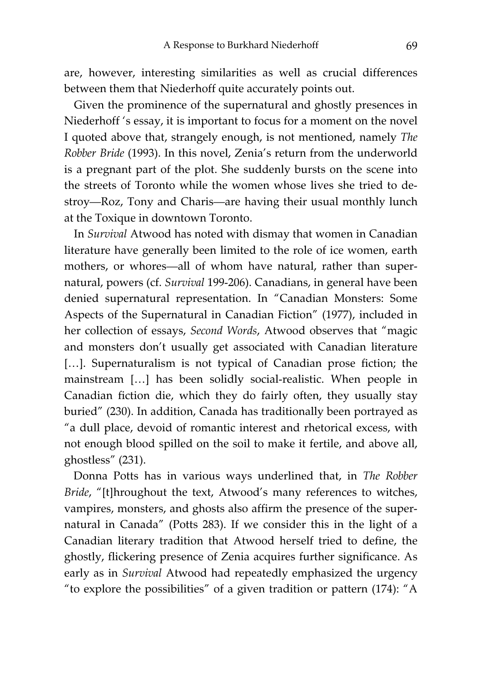are, however, interesting similarities as well as crucial differences between them that Niederhoff quite accurately points out.

Given the prominence of the supernatural and ghostly presences in Niederhoff 's essay, it is important to focus for a moment on the novel I quoted above that, strangely enough, is not mentioned, namely *The Robber Bride* (1993). In this novel, Zenia's return from the underworld is a pregnant part of the plot. She suddenly bursts on the scene into the streets of Toronto while the women whose lives she tried to destroy—Roz, Tony and Charis—are having their usual monthly lunch at the Toxique in downtown Toronto.

In *Survival* Atwood has noted with dismay that women in Canadian literature have generally been limited to the role of ice women, earth mothers, or whores—all of whom have natural, rather than supernatural, powers (cf. *Survival* 199-206). Canadians, in general have been denied supernatural representation. In "Canadian Monsters: Some Aspects of the Supernatural in Canadian Fiction" (1977), included in her collection of essays, *Second Words*, Atwood observes that "magic and monsters don't usually get associated with Canadian literature [...]. Supernaturalism is not typical of Canadian prose fiction; the mainstream […] has been solidly social-realistic. When people in Canadian fiction die, which they do fairly often, they usually stay buried" (230). In addition, Canada has traditionally been portrayed as "a dull place, devoid of romantic interest and rhetorical excess, with not enough blood spilled on the soil to make it fertile, and above all, ghostless" (231).

Donna Potts has in various ways underlined that, in *The Robber Bride*, "[t]hroughout the text, Atwood's many references to witches, vampires, monsters, and ghosts also affirm the presence of the supernatural in Canada" (Potts 283). If we consider this in the light of a Canadian literary tradition that Atwood herself tried to define, the ghostly, flickering presence of Zenia acquires further significance. As early as in *Survival* Atwood had repeatedly emphasized the urgency "to explore the possibilities" of a given tradition or pattern (174): "A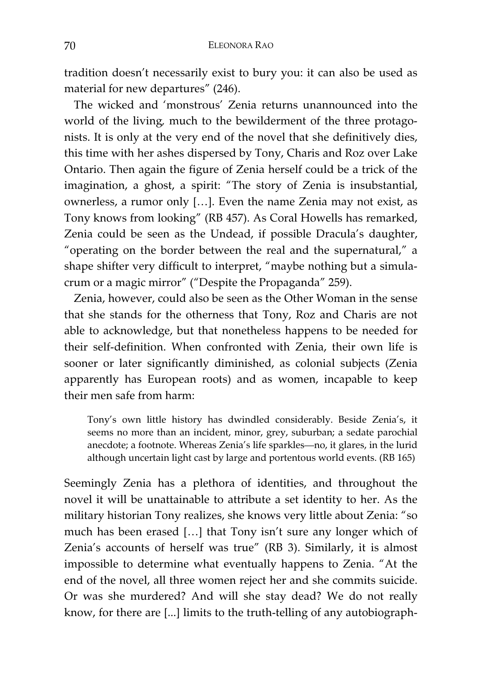tradition doesn't necessarily exist to bury you: it can also be used as material for new departures" (246).

The wicked and 'monstrous' Zenia returns unannounced into the world of the living*,* much to the bewilderment of the three protagonists. It is only at the very end of the novel that she definitively dies, this time with her ashes dispersed by Tony, Charis and Roz over Lake Ontario. Then again the figure of Zenia herself could be a trick of the imagination, a ghost, a spirit: "The story of Zenia is insubstantial, ownerless, a rumor only […]. Even the name Zenia may not exist, as Tony knows from looking" (RB 457). As Coral Howells has remarked, Zenia could be seen as the Undead, if possible Dracula's daughter, "operating on the border between the real and the supernatural," a shape shifter very difficult to interpret, "maybe nothing but a simulacrum or a magic mirror" ("Despite the Propaganda" 259).

Zenia, however, could also be seen as the Other Woman in the sense that she stands for the otherness that Tony, Roz and Charis are not able to acknowledge, but that nonetheless happens to be needed for their self-definition. When confronted with Zenia, their own life is sooner or later significantly diminished, as colonial subjects (Zenia apparently has European roots) and as women, incapable to keep their men safe from harm:

Tony's own little history has dwindled considerably. Beside Zenia's, it seems no more than an incident, minor, grey, suburban; a sedate parochial anecdote; a footnote. Whereas Zenia's life sparkles—no, it glares, in the lurid although uncertain light cast by large and portentous world events. (RB 165)

Seemingly Zenia has a plethora of identities, and throughout the novel it will be unattainable to attribute a set identity to her. As the military historian Tony realizes, she knows very little about Zenia: "so much has been erased […] that Tony isn't sure any longer which of Zenia's accounts of herself was true" (RB 3). Similarly, it is almost impossible to determine what eventually happens to Zenia. "At the end of the novel, all three women reject her and she commits suicide. Or was she murdered? And will she stay dead? We do not really know, for there are [...] limits to the truth-telling of any autobiograph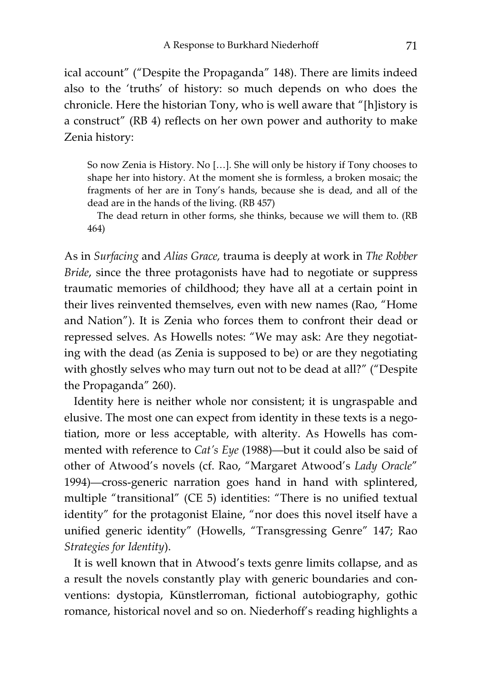ical account" ("Despite the Propaganda" 148). There are limits indeed also to the 'truths' of history: so much depends on who does the chronicle. Here the historian Tony, who is well aware that "[h]istory is a construct" (RB 4) reflects on her own power and authority to make Zenia history:

So now Zenia is History. No […]. She will only be history if Tony chooses to shape her into history. At the moment she is formless, a broken mosaic; the fragments of her are in Tony's hands, because she is dead, and all of the dead are in the hands of the living. (RB 457)

The dead return in other forms, she thinks, because we will them to. (RB 464)

As in *Surfacing* and *Alias Grace,* trauma is deeply at work in *The Robber Bride*, since the three protagonists have had to negotiate or suppress traumatic memories of childhood; they have all at a certain point in their lives reinvented themselves, even with new names (Rao, "Home and Nation"). It is Zenia who forces them to confront their dead or repressed selves. As Howells notes: "We may ask: Are they negotiating with the dead (as Zenia is supposed to be) or are they negotiating with ghostly selves who may turn out not to be dead at all?" ("Despite the Propaganda" 260).

Identity here is neither whole nor consistent; it is ungraspable and elusive. The most one can expect from identity in these texts is a negotiation, more or less acceptable, with alterity. As Howells has commented with reference to *Cat's Eye* (1988)—but it could also be said of other of Atwood's novels (cf. Rao, "Margaret Atwood's *Lady Oracle*" 1994)—cross-generic narration goes hand in hand with splintered, multiple "transitional" (CE 5) identities: "There is no unified textual identity" for the protagonist Elaine, "nor does this novel itself have a unified generic identity" (Howells, "Transgressing Genre" 147; Rao *Strategies for Identity*).

It is well known that in Atwood's texts genre limits collapse, and as a result the novels constantly play with generic boundaries and conventions: dystopia, Künstlerroman, fictional autobiography, gothic romance, historical novel and so on. Niederhoff's reading highlights a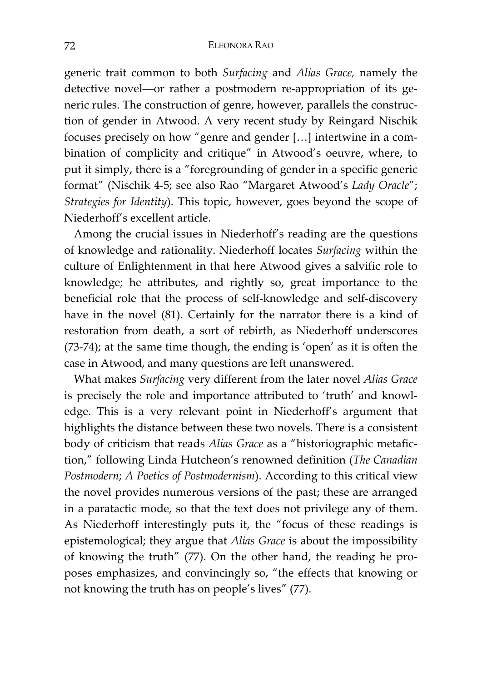generic trait common to both *Surfacing* and *Alias Grace,* namely the detective novel—or rather a postmodern re-appropriation of its generic rules. The construction of genre, however, parallels the construction of gender in Atwood. A very recent study by Reingard Nischik focuses precisely on how "genre and gender […] intertwine in a combination of complicity and critique" in Atwood's oeuvre, where, to put it simply, there is a "foregrounding of gender in a specific generic format" (Nischik 4-5; see also Rao "Margaret Atwood's *Lady Oracle*"; *Strategies for Identity*). This topic, however, goes beyond the scope of Niederhoff's excellent article.

Among the crucial issues in Niederhoff's reading are the questions of knowledge and rationality. Niederhoff locates *Surfacing* within the culture of Enlightenment in that here Atwood gives a salvific role to knowledge; he attributes, and rightly so, great importance to the beneficial role that the process of self-knowledge and self-discovery have in the novel (81). Certainly for the narrator there is a kind of restoration from death, a sort of rebirth, as Niederhoff underscores (73-74); at the same time though, the ending is 'open' as it is often the case in Atwood, and many questions are left unanswered.

What makes *Surfacing* very different from the later novel *Alias Grace* is precisely the role and importance attributed to 'truth' and knowledge. This is a very relevant point in Niederhoff's argument that highlights the distance between these two novels. There is a consistent body of criticism that reads *Alias Grace* as a "historiographic metafiction," following Linda Hutcheon's renowned definition (*The Canadian Postmodern*; *A Poetics of Postmodernism*). According to this critical view the novel provides numerous versions of the past; these are arranged in a paratactic mode, so that the text does not privilege any of them. As Niederhoff interestingly puts it, the "focus of these readings is epistemological; they argue that *Alias Grace* is about the impossibility of knowing the truth" (77). On the other hand, the reading he proposes emphasizes, and convincingly so, "the effects that knowing or not knowing the truth has on people's lives" (77).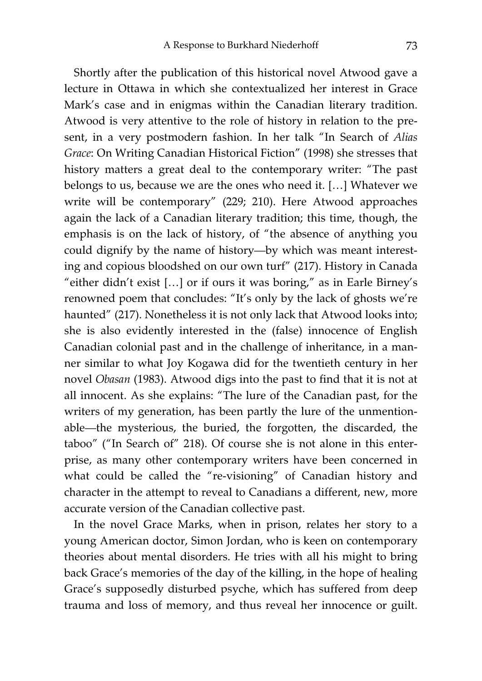Shortly after the publication of this historical novel Atwood gave a lecture in Ottawa in which she contextualized her interest in Grace Mark's case and in enigmas within the Canadian literary tradition. Atwood is very attentive to the role of history in relation to the present, in a very postmodern fashion. In her talk "In Search of *Alias Grace*: On Writing Canadian Historical Fiction" (1998) she stresses that history matters a great deal to the contemporary writer: "The past belongs to us, because we are the ones who need it. […] Whatever we write will be contemporary" (229; 210). Here Atwood approaches again the lack of a Canadian literary tradition; this time, though, the emphasis is on the lack of history, of "the absence of anything you could dignify by the name of history—by which was meant interesting and copious bloodshed on our own turf" (217). History in Canada "either didn't exist […] or if ours it was boring," as in Earle Birney's renowned poem that concludes: "It's only by the lack of ghosts we're haunted" (217). Nonetheless it is not only lack that Atwood looks into; she is also evidently interested in the (false) innocence of English Canadian colonial past and in the challenge of inheritance, in a manner similar to what Joy Kogawa did for the twentieth century in her novel *Obasan* (1983). Atwood digs into the past to find that it is not at all innocent. As she explains: "The lure of the Canadian past, for the writers of my generation, has been partly the lure of the unmentionable—the mysterious, the buried, the forgotten, the discarded, the taboo" ("In Search of" 218). Of course she is not alone in this enterprise, as many other contemporary writers have been concerned in what could be called the "re-visioning" of Canadian history and character in the attempt to reveal to Canadians a different, new, more accurate version of the Canadian collective past.

In the novel Grace Marks, when in prison, relates her story to a young American doctor, Simon Jordan, who is keen on contemporary theories about mental disorders. He tries with all his might to bring back Grace's memories of the day of the killing, in the hope of healing Grace's supposedly disturbed psyche, which has suffered from deep trauma and loss of memory, and thus reveal her innocence or guilt.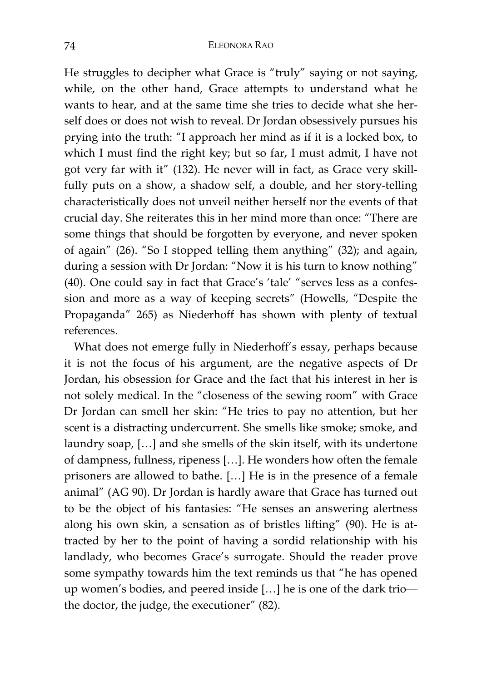He struggles to decipher what Grace is "truly" saying or not saying, while, on the other hand, Grace attempts to understand what he wants to hear, and at the same time she tries to decide what she herself does or does not wish to reveal. Dr Jordan obsessively pursues his prying into the truth: "I approach her mind as if it is a locked box, to which I must find the right key; but so far, I must admit, I have not got very far with it" (132). He never will in fact, as Grace very skillfully puts on a show, a shadow self, a double, and her story-telling characteristically does not unveil neither herself nor the events of that crucial day. She reiterates this in her mind more than once: "There are some things that should be forgotten by everyone, and never spoken of again" (26). "So I stopped telling them anything" (32); and again, during a session with Dr Jordan: "Now it is his turn to know nothing" (40). One could say in fact that Grace's 'tale' "serves less as a confession and more as a way of keeping secrets" (Howells, "Despite the Propaganda" 265) as Niederhoff has shown with plenty of textual references.

What does not emerge fully in Niederhoff's essay, perhaps because it is not the focus of his argument, are the negative aspects of Dr Jordan, his obsession for Grace and the fact that his interest in her is not solely medical. In the "closeness of the sewing room" with Grace Dr Jordan can smell her skin: "He tries to pay no attention, but her scent is a distracting undercurrent. She smells like smoke; smoke, and laundry soap, […] and she smells of the skin itself, with its undertone of dampness, fullness, ripeness […]. He wonders how often the female prisoners are allowed to bathe. […] He is in the presence of a female animal" (AG 90). Dr Jordan is hardly aware that Grace has turned out to be the object of his fantasies: "He senses an answering alertness along his own skin, a sensation as of bristles lifting" (90). He is attracted by her to the point of having a sordid relationship with his landlady, who becomes Grace's surrogate. Should the reader prove some sympathy towards him the text reminds us that "he has opened up women's bodies, and peered inside […] he is one of the dark trio the doctor, the judge, the executioner" (82).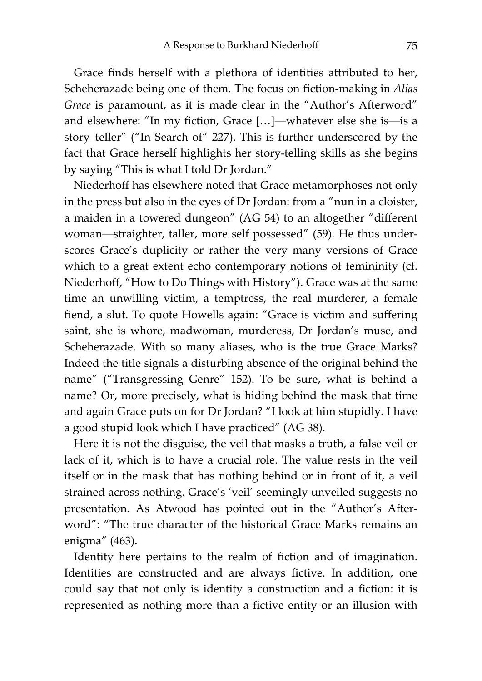Grace finds herself with a plethora of identities attributed to her, Scheherazade being one of them. The focus on fiction-making in *Alias Grace* is paramount, as it is made clear in the "Author's Afterword" and elsewhere: "In my fiction, Grace […]—whatever else she is—is a story–teller" ("In Search of" 227). This is further underscored by the fact that Grace herself highlights her story-telling skills as she begins by saying "This is what I told Dr Jordan."

Niederhoff has elsewhere noted that Grace metamorphoses not only in the press but also in the eyes of Dr Jordan: from a "nun in a cloister, a maiden in a towered dungeon" (AG 54) to an altogether "different woman—straighter, taller, more self possessed" (59). He thus underscores Grace's duplicity or rather the very many versions of Grace which to a great extent echo contemporary notions of femininity (cf. Niederhoff, "How to Do Things with History"). Grace was at the same time an unwilling victim, a temptress, the real murderer, a female fiend, a slut. To quote Howells again: "Grace is victim and suffering saint, she is whore, madwoman, murderess, Dr Jordan's muse, and Scheherazade. With so many aliases, who is the true Grace Marks? Indeed the title signals a disturbing absence of the original behind the name" ("Transgressing Genre" 152). To be sure, what is behind a name? Or, more precisely, what is hiding behind the mask that time and again Grace puts on for Dr Jordan? "I look at him stupidly. I have a good stupid look which I have practiced" (AG 38).

Here it is not the disguise, the veil that masks a truth, a false veil or lack of it, which is to have a crucial role. The value rests in the veil itself or in the mask that has nothing behind or in front of it, a veil strained across nothing. Grace's 'veil' seemingly unveiled suggests no presentation. As Atwood has pointed out in the "Author's Afterword": "The true character of the historical Grace Marks remains an enigma" (463).

Identity here pertains to the realm of fiction and of imagination. Identities are constructed and are always fictive. In addition, one could say that not only is identity a construction and a fiction: it is represented as nothing more than a fictive entity or an illusion with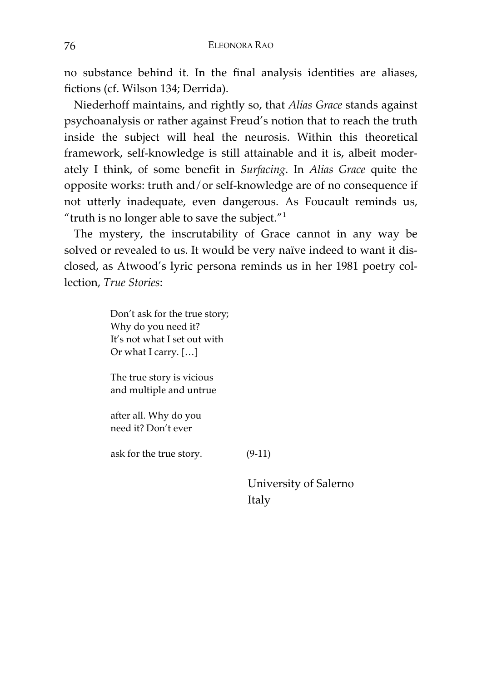no substance behind it. In the final analysis identities are aliases, fictions (cf. Wilson 134; Derrida).

Niederhoff maintains, and rightly so, that *Alias Grace* stands against psychoanalysis or rather against Freud's notion that to reach the truth inside the subject will heal the neurosis. Within this theoretical framework, self-knowledge is still attainable and it is, albeit moderately I think, of some benefit in *Surfacing*. In *Alias Grace* quite the opposite works: truth and/or self-knowledge are of no consequence if not utterly inadequate, even dangerous. As Foucault reminds us, "truth is no longer able to save the subject." $1$ 

The mystery, the inscrutability of Grace cannot in any way be solved or revealed to us. It would be very naïve indeed to want it disclosed, as Atwood's lyric persona reminds us in her 1981 poetry collection, *True Stories*:

> Don't ask for the true story; Why do you need it? It's not what I set out with Or what I carry. […]

The true story is vicious and multiple and untrue

after all. Why do you need it? Don't ever

ask for the true story. (9-11)

University of Salerno Italy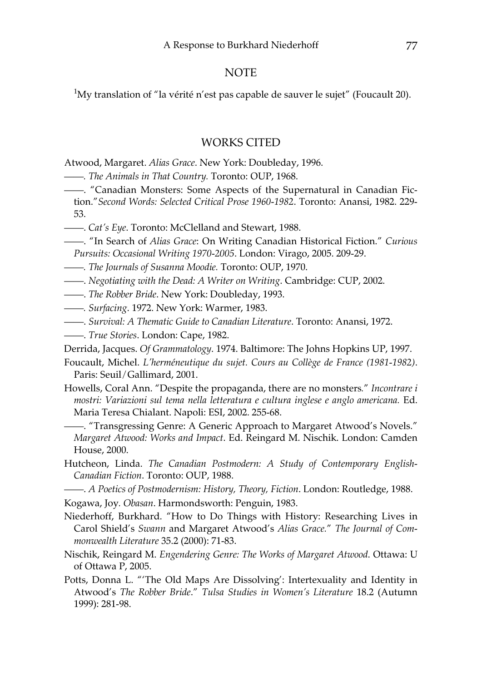## NOTE

 $\rm ^1My$  translation of "la vérité n'est pas capable de sauver le sujet" (Foucault 20).

## WORKS CITED

Atwood, Margaret. *Alias Grace*. New York: Doubleday, 1996.

- ——*. The Animals in That Country.* Toronto: OUP, 1968.
- ——. "Canadian Monsters: Some Aspects of the Supernatural in Canadian Fiction."*Second Words: Selected Critical Prose 1960-1982*. Toronto: Anansi, 1982. 229- 53.
- ——. *Cat's Eye*. Toronto: McClelland and Stewart, 1988.
- ——. "In Search of *Alias Grace*: On Writing Canadian Historical Fiction." *Curious Pursuits: Occasional Writing 1970-2005*. London: Virago, 2005. 209-29.
- ——*. The Journals of Susanna Moodie.* Toronto: OUP, 1970.
- ——. *Negotiating with the Dead: A Writer on Writing*. Cambridge: CUP, 2002.
- ——. *The Robber Bride*. New York: Doubleday, 1993.
- ——*. Surfacing*. 1972. New York: Warmer, 1983.
- ——. *Survival: A Thematic Guide to Canadian Literature*. Toronto: Anansi, 1972.
- ——. *True Stories*. London: Cape, 1982.

Derrida, Jacques. *Of Grammatology*. 1974. Baltimore: The Johns Hopkins UP, 1997.

- Foucault, Michel. *L'herméneutique du sujet. Cours au Collège de France (1981-1982)*. Paris: Seuil/Gallimard, 2001.
- Howells, Coral Ann. "Despite the propaganda, there are no monsters*.*" *Incontrare i mostri: Variazioni sul tema nella letteratura e cultura inglese e anglo americana.* Ed. Maria Teresa Chialant. Napoli: ESI, 2002. 255-68.
- ——. "Transgressing Genre: A Generic Approach to Margaret Atwood's Novels." *Margaret Atwood: Works and Impact*. Ed. Reingard M. Nischik. London: Camden House, 2000.
- Hutcheon, Linda. *The Canadian Postmodern: A Study of Contemporary English-Canadian Fiction*. Toronto: OUP, 1988.
- ——. *A Poetics of Postmodernism: History, Theory, Fiction*. London: Routledge, 1988.
- Kogawa, Joy*. Obasan*. Harmondsworth: Penguin, 1983.
- Niederhoff, Burkhard. "How to Do Things with History: Researching Lives in Carol Shield's *Swann* and Margaret Atwood's *Alias Grace.*" *The Journal of Commonwealth Literature* 35.2 (2000): 71-83.
- Nischik, Reingard M. *Engendering Genre: The Works of Margaret Atwood*. Ottawa: U of Ottawa P, 2005.
- Potts, Donna L. "'The Old Maps Are Dissolving': Intertexuality and Identity in Atwood's *The Robber Bride*." *Tulsa Studies in Women's Literature* 18.2 (Autumn 1999): 281-98.